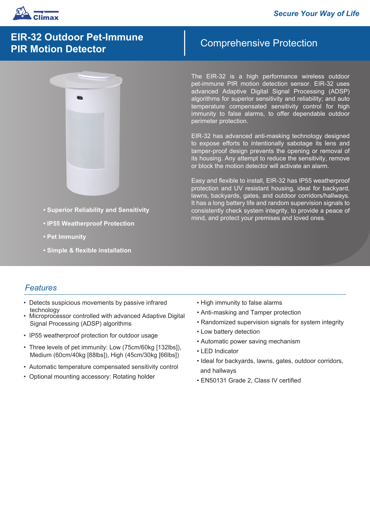

# **EIR-32 Outdoor Pet-Immune PIR Motion Detector**



- **Superior Reliability and Sensitivity**
- **IP55 Weatherproof Protection**
- **Pet Immunity**
- **Simple & flexible installation**

# Comprehensive Protection

The EIR-32 is a high performance wireless outdoor pet-immune PIR motion detection sensor. EIR-32 uses advanced Adaptive Digital Signal Processing (ADSP) algorithms for superior sensitivity and reliability; and auto temperature compensated sensitivity control for high immunity to false alarms, to offer dependable outdoor perimeter protection.

EIR-32 has advanced anti-masking technology designed to expose efforts to intentionally sabotage its lens and tamper-proof design prevents the opening or removal of its housing. Any attempt to reduce the sensitivity, remove or block the motion detector will activate an alarm.

Easy and flexible to install, EIR-32 has IP55 weatherproof protection and UV resistant housing, ideal for backyard, lawns, backyards, gates, and outdoor corridors/hallways. It has a long battery life and random supervision signals to consistently check system integrity, to provide a peace of mind, and protect your premises and loved ones.

## *Features*

- Detects suspicious movements by passive infrared technology
- Microprocessor controlled with advanced Adaptive Digital Signal Processing (ADSP) algorithms
- IP55 weatherproof protection for outdoor usage
- Three levels of pet immunity: Low (75cm/60kg [132lbs]), Medium (60cm/40kg [88lbs]), High (45cm/30kg [66lbs])
- Automatic temperature compensated sensitivity control
- Optional mounting accessory: Rotating holder
- High immunity to false alarms
- Anti-masking and Tamper protection
- Randomized supervision signals for system integrity
- Low battery detection
- Automatic power saving mechanism
- LED Indicator
- Ideal for backyards, lawns, gates, outdoor corridors, and hallways
- EN50131 Grade 2, Class IV certified